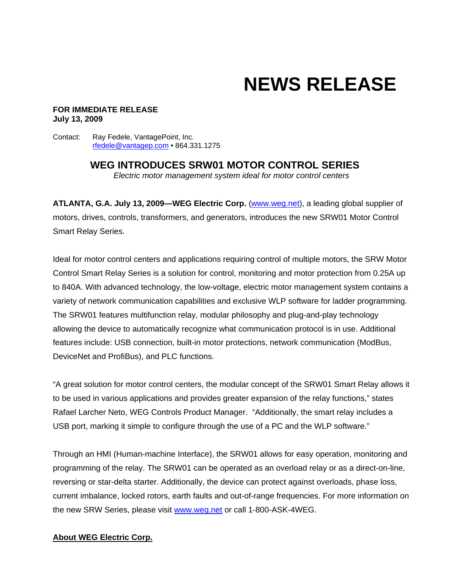# **NEWS RELEASE**

#### **FOR IMMEDIATE RELEASE July 13, 2009**

Contact: Ray Fedele, VantagePoint, Inc. rfedele@vantagep.com • 864.331.1275

> **WEG INTRODUCES SRW01 MOTOR CONTROL SERIES**  *Electric motor management system ideal for motor control centers*

**ATLANTA, G.A. July 13, 2009—WEG Electric Corp.** (www.weg.net), a leading global supplier of motors, drives, controls, transformers, and generators, introduces the new SRW01 Motor Control Smart Relay Series.

Ideal for motor control centers and applications requiring control of multiple motors, the SRW Motor Control Smart Relay Series is a solution for control, monitoring and motor protection from 0.25A up to 840A. With advanced technology, the low-voltage, electric motor management system contains a variety of network communication capabilities and exclusive WLP software for ladder programming. The SRW01 features multifunction relay, modular philosophy and plug-and-play technology allowing the device to automatically recognize what communication protocol is in use. Additional features include: USB connection, built-in motor protections, network communication (ModBus, DeviceNet and ProfiBus), and PLC functions.

"A great solution for motor control centers, the modular concept of the SRW01 Smart Relay allows it to be used in various applications and provides greater expansion of the relay functions," states Rafael Larcher Neto, WEG Controls Product Manager. "Additionally, the smart relay includes a USB port, marking it simple to configure through the use of a PC and the WLP software."

Through an HMI (Human-machine Interface), the SRW01 allows for easy operation, monitoring and programming of the relay. The SRW01 can be operated as an overload relay or as a direct-on-line, reversing or star-delta starter. Additionally, the device can protect against overloads, phase loss, current imbalance, locked rotors, earth faults and out-of-range frequencies. For more information on the new SRW Series, please visit www.weg.net or call 1-800-ASK-4WEG.

#### **About WEG Electric Corp.**